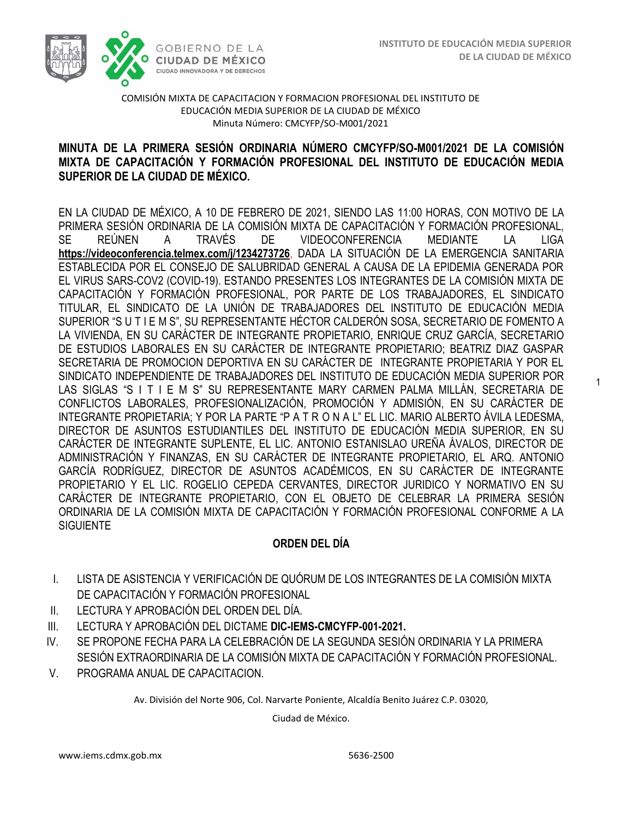1



#### COMISIÓN MIXTA DE CAPACITACION Y FORMACION PROFESIONAL DEL INSTITUTO DE EDUCACIÓN MEDIA SUPERIOR DE LA CIUDAD DE MÉXICO Minuta Número: CMCYFP/SO-M001/2021

## MIXTA DE CAPACITACIÓN Y FORMACIÓN PROFESIONAL DEL INSTITUTO DE EDUCACIÓN MEDIA  **SUPERIOR DE LA CIUDAD DE MÉXICO. MINUTA DE LA PRIMERA SESIÓN ORDINARIA NÚMERO CMCYFP/SO-M001/2021 DE LA COMISIÓN**

EN LA CIUDAD DE MÉXICO, A 10 DE FEBRERO DE 2021, SIENDO LAS 11:00 HORAS, CON MOTIVO DE LA PRIMERA SESIÓN ORDINARIA DE LA COMISIÓN MIXTA DE CAPACITACIÓN Y FORMACIÓN PROFESIONAL, SE REÚNEN A TRAVÉS DE VIDEOCONFERENCIA MEDIANTE LA LIGA **<https://videoconferencia.telmex.com/j/1234273726>**, DADA LA SITUACIÓN DE LA EMERGENCIA SANITARIA ESTABLECIDA POR EL CONSEJO DE SALUBRIDAD GENERAL A CAUSA DE LA EPIDEMIA GENERADA POR EL VIRUS SARS-COV2 (COVID-19). ESTANDO PRESENTES LOS INTEGRANTES DE LA COMISIÓN MIXTA DE CAPACITACIÓN Y FORMACIÓN PROFESIONAL, POR PARTE DE LOS TRABAJADORES, EL SINDICATO TITULAR, EL SINDICATO DE LA UNIÓN DE TRABAJADORES DEL INSTITUTO DE EDUCACIÓN MEDIA SUPERIOR "S U T I E M S", SU REPRESENTANTE HÉCTOR CALDERÓN SOSA, SECRETARIO DE FOMENTO A LA VIVIENDA, EN SU CARÁCTER DE INTEGRANTE PROPIETARIO, ENRIQUE CRUZ GARCÍA, SECRETARIO DE ESTUDIOS LABORALES EN SU CARÁCTER DE INTEGRANTE PROPIETARIO; BEATRIZ DIAZ GASPAR SECRETARIA DE PROMOCION DEPORTIVA EN SU CARÁCTER DE INTEGRANTE PROPIETARIA Y POR EL SINDICATO INDEPENDIENTE DE TRABAJADORES DEL INSTITUTO DE EDUCACIÓN MEDIA SUPERIOR POR LAS SIGLAS "S I T I E M S" SU REPRESENTANTE MARY CARMEN PALMA MILLÁN, SECRETARIA DE CONFLICTOS LABORALES, PROFESIONALIZACIÓN, PROMOCIÓN Y ADMISIÓN, EN SU CARÁCTER DE INTEGRANTE PROPIETARIA; Y POR LA PARTE "P A T R O N A L" EL LIC. MARIO ALBERTO ÁVILA LEDESMA, DIRECTOR DE ASUNTOS ESTUDIANTILES DEL INSTITUTO DE EDUCACIÓN MEDIA SUPERIOR, EN SU CARÁCTER DE INTEGRANTE SUPLENTE, EL LIC. ANTONIO ESTANISLAO UREÑA ÁVALOS, DIRECTOR DE ADMINISTRACIÓN Y FINANZAS, EN SU CARÁCTER DE INTEGRANTE PROPIETARIO, EL ARQ. ANTONIO GARCÍA RODRÍGUEZ, DIRECTOR DE ASUNTOS ACADÉMICOS, EN SU CARÁCTER DE INTEGRANTE PROPIETARIO Y EL LIC. ROGELIO CEPEDA CERVANTES, DIRECTOR JURIDICO Y NORMATIVO EN SU CARÁCTER DE INTEGRANTE PROPIETARIO, CON EL OBJETO DE CELEBRAR LA PRIMERA SESIÓN ORDINARIA DE LA COMISIÓN MIXTA DE CAPACITACIÓN Y FORMACIÓN PROFESIONAL CONFORME A LA **SIGUIENTE** 

### **ORDEN DEL DÍA**

- I. LISTA DE ASISTENCIA Y VERIFICACIÓN DE QUÓRUM DE LOS INTEGRANTES DE LA COMISIÓN MIXTA DE CAPACITACIÓN Y FORMACIÓN PROFESIONAL
- II. LECTURA Y APROBACIÓN DEL ORDEN DEL DÍA.
- III. LECTURA Y APROBACIÓN DEL DICTAME **DIC-IEMS-CMCYFP-001-2021.**
- IV. SE PROPONE FECHA PARA LA CELEBRACIÓN DE LA SEGUNDA SESIÓN ORDINARIA Y LA PRIMERA SESIÓN EXTRAORDINARIA DE LA COMISIÓN MIXTA DE CAPACITACIÓN Y FORMACIÓN PROFESIONAL.
- V. PROGRAMA ANUAL DE CAPACITACION.

Av. División del Norte 906, Col. Narvarte Poniente, Alcaldía Benito Juárez C.P. 03020,

Ciudad de México.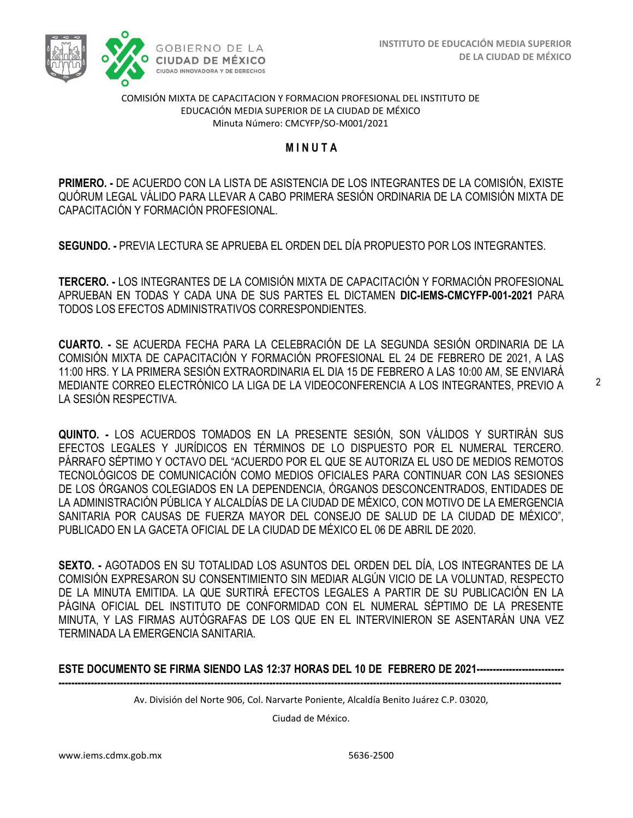

#### COMISIÓN MIXTA DE CAPACITACION Y FORMACION PROFESIONAL DEL INSTITUTO DE EDUCACIÓN MEDIA SUPERIOR DE LA CIUDAD DE MÉXICO Minuta Número: CMCYFP/SO-M001/2021

### **M I N U T A**

 **PRIMERO. -** DE ACUERDO CON LA LISTA DE ASISTENCIA DE LOS INTEGRANTES DE LA COMISIÓN, EXISTE QUÓRUM LEGAL VÁLIDO PARA LLEVAR A CABO PRIMERA SESIÓN ORDINARIA DE LA COMISIÓN MIXTA DE CAPACITACIÓN Y FORMACIÓN PROFESIONAL.

**SEGUNDO. -** PREVIA LECTURA SE APRUEBA EL ORDEN DEL DÍA PROPUESTO POR LOS INTEGRANTES.

**TERCERO. -** LOS INTEGRANTES DE LA COMISIÓN MIXTA DE CAPACITACIÓN Y FORMACIÓN PROFESIONAL APRUEBAN EN TODAS Y CADA UNA DE SUS PARTES EL DICTAMEN **DIC-IEMS-CMCYFP-001-2021** PARA TODOS LOS EFECTOS ADMINISTRATIVOS CORRESPONDIENTES.

**CUARTO. -** SE ACUERDA FECHA PARA LA CELEBRACIÓN DE LA SEGUNDA SESIÓN ORDINARIA DE LA COMISIÓN MIXTA DE CAPACITACIÓN Y FORMACIÓN PROFESIONAL EL 24 DE FEBRERO DE 2021, A LAS 11:00 HRS. Y LA PRIMERA SESIÓN EXTRAORDINARIA EL DIA 15 DE FEBRERO A LAS 10:00 AM, SE ENVIARÁ MEDIANTE CORREO ELECTRÓNICO LA LIGA DE LA VIDEOCONFERENCIA A LOS INTEGRANTES, PREVIO A LA SESIÓN RESPECTIVA.

**QUINTO. -** LOS ACUERDOS TOMADOS EN LA PRESENTE SESIÓN, SON VÁLIDOS Y SURTIRÁN SUS EFECTOS LEGALES Y JURÍDICOS EN TÉRMINOS DE LO DISPUESTO POR EL NUMERAL TERCERO. PÁRRAFO SÉPTIMO Y OCTAVO DEL "ACUERDO POR EL QUE SE AUTORIZA EL USO DE MEDIOS REMOTOS TECNOLÓGICOS DE COMUNICACIÓN COMO MEDIOS OFICIALES PARA CONTINUAR CON LAS SESIONES DE LOS ÓRGANOS COLEGIADOS EN LA DEPENDENCIA, ÓRGANOS DESCONCENTRADOS, ENTIDADES DE LA ADMINISTRACIÓN PÚBLICA Y ALCALDÍAS DE LA CIUDAD DE MÉXICO, CON MOTIVO DE LA EMERGENCIA SANITARIA POR CAUSAS DE FUERZA MAYOR DEL CONSEJO DE SALUD DE LA CIUDAD DE MÉXICO", PUBLICADO EN LA GACETA OFICIAL DE LA CIUDAD DE MÉXICO EL 06 DE ABRIL DE 2020.

**SEXTO. -** AGOTADOS EN SU TOTALIDAD LOS ASUNTOS DEL ORDEN DEL DÍA, LOS INTEGRANTES DE LA COMISIÓN EXPRESARON SU CONSENTIMIENTO SIN MEDIAR ALGÚN VICIO DE LA VOLUNTAD, RESPECTO DE LA MINUTA EMITIDA. LA QUE SURTIRÁ EFECTOS LEGALES A PARTIR DE SU PUBLICACIÓN EN LA PÁGINA OFICIAL DEL INSTITUTO DE CONFORMIDAD CON EL NUMERAL SÉPTIMO DE LA PRESENTE MINUTA, Y LAS FIRMAS AUTÓGRAFAS DE LOS QUE EN EL INTERVINIERON SE ASENTARÁN UNA VEZ TERMINADA LA EMERGENCIA SANITARIA.

#### **ESTE DOCUMENTO SE FIRMA SIENDO LAS 12:37 HORAS DEL 10 DE FEBRERO DE 2021--------------------------- -----------------------------------------------------------------------------------------------------------------------------------------------------------**

Av. División del Norte 906, Col. Narvarte Poniente, Alcaldía Benito Juárez C.P. 03020,

Ciudad de México.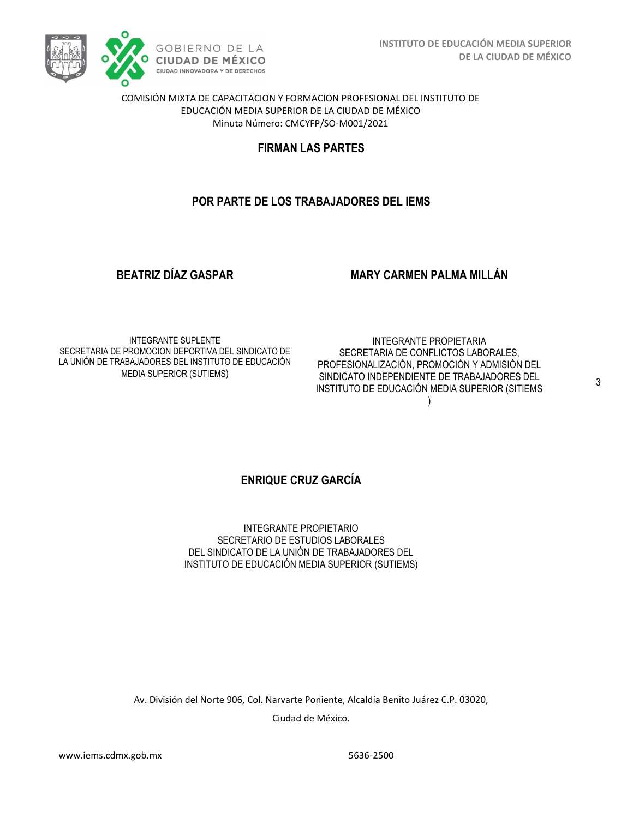

COMISIÓN MIXTA DE CAPACITACION Y FORMACION PROFESIONAL DEL INSTITUTO DE EDUCACIÓN MEDIA SUPERIOR DE LA CIUDAD DE MÉXICO Minuta Número: CMCYFP/SO-M001/2021

## **FIRMAN LAS PARTES**

## **POR PARTE DE LOS TRABAJADORES DEL IEMS**

**BEATRIZ DÍAZ GASPAR**

### **MARY CARMEN PALMA MILLÁN**

INTEGRANTE SUPLENTE SECRETARIA DE PROMOCION DEPORTIVA DEL SINDICATO DE LA UNIÓN DE TRABAJADORES DEL INSTITUTO DE EDUCACIÓN MEDIA SUPERIOR (SUTIEMS)

INTEGRANTE PROPIETARIA SECRETARIA DE CONFLICTOS LABORALES, PROFESIONALIZACIÓN, PROMOCIÓN Y ADMISIÓN DEL SINDICATO INDEPENDIENTE DE TRABAJADORES DEL INSTITUTO DE EDUCACIÓN MEDIA SUPERIOR (SITIEMS

)

3

### **ENRIQUE CRUZ GARCÍA**

INTEGRANTE PROPIETARIO SECRETARIO DE ESTUDIOS LABORALES DEL SINDICATO DE LA UNIÓN DE TRABAJADORES DEL INSTITUTO DE EDUCACIÓN MEDIA SUPERIOR (SUTIEMS)

Av. División del Norte 906, Col. Narvarte Poniente, Alcaldía Benito Juárez C.P. 03020, Ciudad de México.

www.iems.cdmx.gob.mx 5636-2500